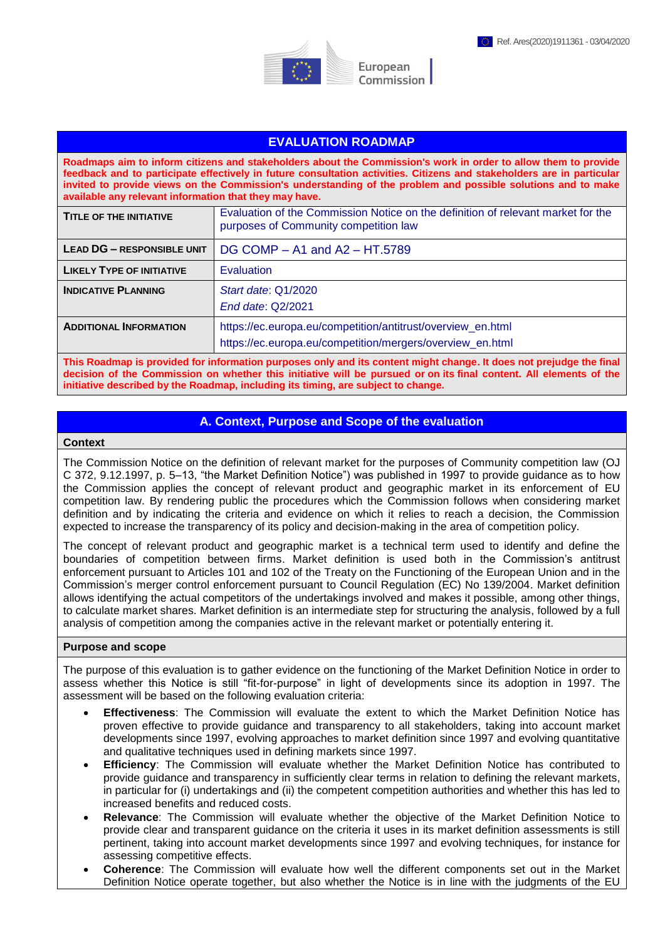



# **EVALUATION ROADMAP**

**Roadmaps aim to inform citizens and stakeholders about the Commission's work in order to allow them to provide feedback and to participate effectively in future consultation activities. Citizens and stakeholders are in particular invited to provide views on the Commission's understanding of the problem and possible solutions and to make available any relevant information that they may have.** 

| <b>TITLE OF THE INITIATIVE</b>   | Evaluation of the Commission Notice on the definition of relevant market for the<br>purposes of Community competition law |
|----------------------------------|---------------------------------------------------------------------------------------------------------------------------|
| LEAD DG - RESPONSIBLE UNIT       | DG COMP - A1 and A2 - HT.5789                                                                                             |
| <b>LIKELY TYPE OF INITIATIVE</b> | Evaluation                                                                                                                |
| <b>INDICATIVE PLANNING</b>       | Start date: Q1/2020<br>End date: Q2/2021                                                                                  |
| <b>ADDITIONAL INFORMATION</b>    | https://ec.europa.eu/competition/antitrust/overview_en.html<br>https://ec.europa.eu/competition/mergers/overview_en.html  |

**This Roadmap is provided for information purposes only and its content might change. It does not prejudge the final decision of the Commission on whether this initiative will be pursued or on its final content. All elements of the initiative described by the Roadmap, including its timing, are subject to change.**

## **A. Context, Purpose and Scope of the evaluation**

#### **Context**

The Commission Notice on the definition of relevant market for the purposes of Community competition law (OJ C 372, 9.12.1997, p. 5–13, "the Market Definition Notice") was published in 1997 to provide guidance as to how the Commission applies the concept of relevant product and geographic market in its enforcement of EU competition law. By rendering public the procedures which the Commission follows when considering market definition and by indicating the criteria and evidence on which it relies to reach a decision, the Commission expected to increase the transparency of its policy and decision-making in the area of competition policy.

The concept of relevant product and geographic market is a technical term used to identify and define the boundaries of competition between firms. Market definition is used both in the Commission's antitrust enforcement pursuant to Articles 101 and 102 of the Treaty on the Functioning of the European Union and in the Commission's merger control enforcement pursuant to Council Regulation (EC) No 139/2004. Market definition allows identifying the actual competitors of the undertakings involved and makes it possible, among other things, to calculate market shares. Market definition is an intermediate step for structuring the analysis, followed by a full analysis of competition among the companies active in the relevant market or potentially entering it.

### **Purpose and scope**

The purpose of this evaluation is to gather evidence on the functioning of the Market Definition Notice in order to assess whether this Notice is still "fit-for-purpose" in light of developments since its adoption in 1997. The assessment will be based on the following evaluation criteria:

- **Effectiveness**: The Commission will evaluate the extent to which the Market Definition Notice has proven effective to provide guidance and transparency to all stakeholders, taking into account market developments since 1997, evolving approaches to market definition since 1997 and evolving quantitative and qualitative techniques used in defining markets since 1997.
- **Efficiency**: The Commission will evaluate whether the Market Definition Notice has contributed to provide guidance and transparency in sufficiently clear terms in relation to defining the relevant markets, in particular for (i) undertakings and (ii) the competent competition authorities and whether this has led to increased benefits and reduced costs.
- **Relevance**: The Commission will evaluate whether the objective of the Market Definition Notice to provide clear and transparent guidance on the criteria it uses in its market definition assessments is still pertinent, taking into account market developments since 1997 and evolving techniques, for instance for assessing competitive effects.
- **Coherence**: The Commission will evaluate how well the different components set out in the Market Definition Notice operate together, but also whether the Notice is in line with the judgments of the EU